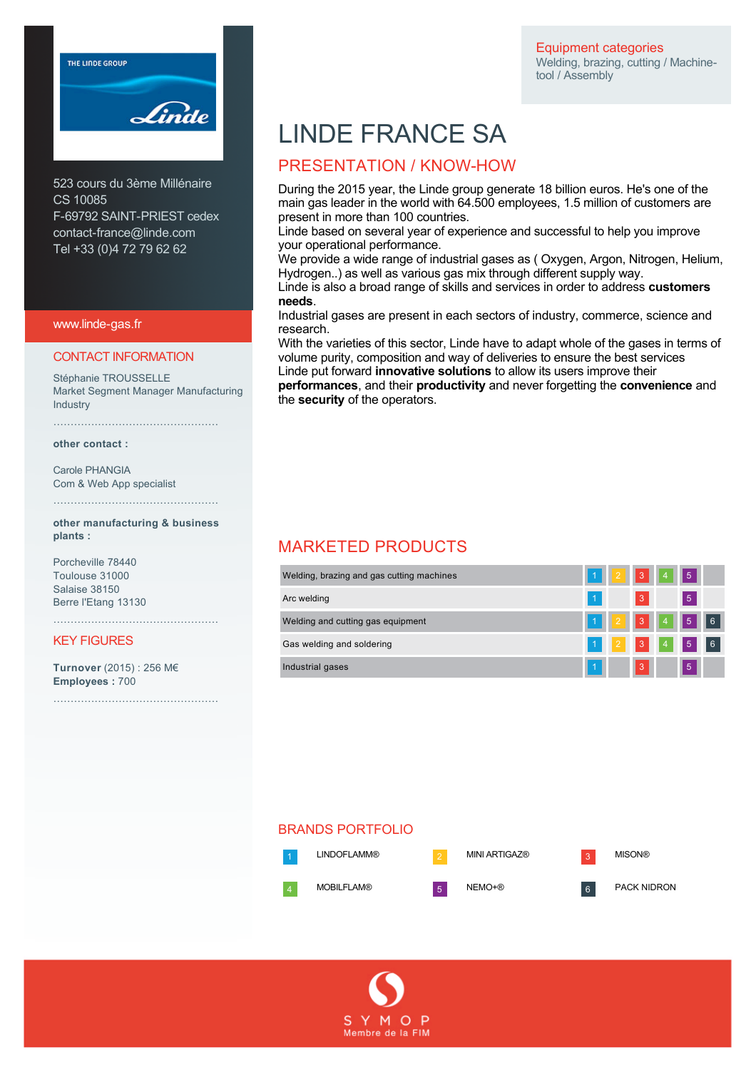Equipment categories Welding, brazing, cutting / Machinetool / Assembly



523 cours du 3ème Millénaire CS 10085 F-69792 SAINT-PRIEST cedex contact-france@linde.com Tel +33 (0)4 72 79 62 62

www.linde-gas.fr

#### CONTACT INFORMATION

Stéphanie TROUSSELLE Market Segment Manager Manufacturing **Industry** 

…………………………………………

**other contact :** 

Carole PHANGIA Com & Web App specialist

**other manufacturing & business plants :** 

…………………………………………

Porcheville 78440 Toulouse 31000 Salaise 38150 Berre l'Etang 13130

#### KEY FIGURES

**Turnover** (2015) : 256 M€ **Employees :** 700

…………………………………………

…………………………………………

# LINDE FRANCE SA

### PRESENTATION / KNOW-HOW

During the 2015 year, the Linde group generate 18 billion euros. He's one of the main gas leader in the world with 64.500 employees, 1.5 million of customers are present in more than 100 countries.

Linde based on several year of experience and successful to help you improve your operational performance.

We provide a wide range of industrial gases as ( Oxygen, Argon, Nitrogen, Helium, Hydrogen..) as well as various gas mix through different supply way.

Linde is also a broad range of skills and services in order to address **customers needs**.

Industrial gases are present in each sectors of industry, commerce, science and research.

With the varieties of this sector, Linde have to adapt whole of the gases in terms of volume purity, composition and way of deliveries to ensure the best services Linde put forward **innovative solutions** to allow its users improve their **performances**, and their **productivity** and never forgetting the **convenience** and

the **security** of the operators.

## MARKETED PRODUCTS

| Welding, brazing and gas cutting machines | 1 <sup>1</sup> |                |           |  |
|-------------------------------------------|----------------|----------------|-----------|--|
| Arc welding                               |                | 3              | 5         |  |
| Welding and cutting gas equipment         | 1 <sup>1</sup> |                |           |  |
| Gas welding and soldering                 |                |                | 2 3 4 5 6 |  |
| Industrial gases                          | И              | $\overline{3}$ | 5.        |  |

#### BRANDS PORTFOLIO

LINDOFLAMM® 2 MINI ARTIGAZ® 3 MISON®

MOBILFLAM® 5 NEMO+® 6 PACK NIDRON